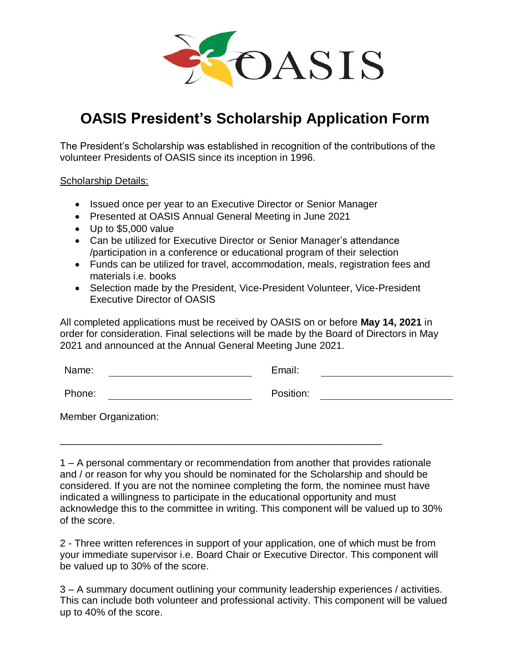

## **OASIS President's Scholarship Application Form**

The President's Scholarship was established in recognition of the contributions of the volunteer Presidents of OASIS since its inception in 1996.

Scholarship Details:

- Issued once per year to an Executive Director or Senior Manager
- Presented at OASIS Annual General Meeting in June 2021
- Up to \$5,000 value
- Can be utilized for Executive Director or Senior Manager's attendance /participation in a conference or educational program of their selection
- Funds can be utilized for travel, accommodation, meals, registration fees and materials i.e. books
- Selection made by the President, Vice-President Volunteer, Vice-President Executive Director of OASIS

All completed applications must be received by OASIS on or before **May 14, 2021** in order for consideration. Final selections will be made by the Board of Directors in May 2021 and announced at the Annual General Meeting June 2021.

| Name:                       | Email:    |
|-----------------------------|-----------|
| Phone:                      | Position: |
| <b>Member Organization:</b> |           |

\_\_\_\_\_\_\_\_\_\_\_\_\_\_\_\_\_\_\_\_\_\_\_\_\_\_\_\_\_\_\_\_\_\_\_\_\_\_\_\_\_\_\_\_\_\_\_\_\_\_\_\_\_\_\_\_\_\_

1 – A personal commentary or recommendation from another that provides rationale and / or reason for why you should be nominated for the Scholarship and should be considered. If you are not the nominee completing the form, the nominee must have indicated a willingness to participate in the educational opportunity and must acknowledge this to the committee in writing. This component will be valued up to 30% of the score.

2 - Three written references in support of your application, one of which must be from your immediate supervisor i.e. Board Chair or Executive Director. This component will be valued up to 30% of the score.

3 – A summary document outlining your community leadership experiences / activities. This can include both volunteer and professional activity. This component will be valued up to 40% of the score.